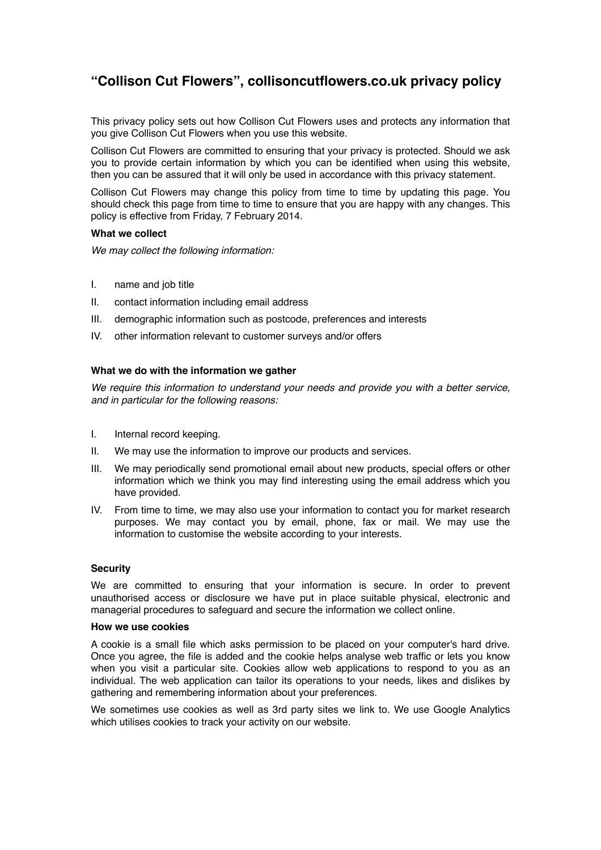# **"Collison Cut Flowers", collisoncutflowers.co.uk privacy policy**

This privacy policy sets out how Collison Cut Flowers uses and protects any information that you give Collison Cut Flowers when you use this website.

Collison Cut Flowers are committed to ensuring that your privacy is protected. Should we ask you to provide certain information by which you can be identified when using this website, then you can be assured that it will only be used in accordance with this privacy statement.

Collison Cut Flowers may change this policy from time to time by updating this page. You should check this page from time to time to ensure that you are happy with any changes. This policy is effective from Friday, 7 February 2014.

# **What we collect**

*We may collect the following information:*

- I. name and job title
- II. contact information including email address
- III. demographic information such as postcode, preferences and interests
- IV. other information relevant to customer surveys and/or offers

## **What we do with the information we gather**

*We require this information to understand your needs and provide you with a better service, and in particular for the following reasons:*

- I. Internal record keeping.
- II. We may use the information to improve our products and services.
- III. We may periodically send promotional email about new products, special offers or other information which we think you may find interesting using the email address which you have provided.
- IV. From time to time, we may also use your information to contact you for market research purposes. We may contact you by email, phone, fax or mail. We may use the information to customise the website according to your interests.

#### **Security**

We are committed to ensuring that your information is secure. In order to prevent unauthorised access or disclosure we have put in place suitable physical, electronic and managerial procedures to safeguard and secure the information we collect online.

## **How we use cookies**

A cookie is a small file which asks permission to be placed on your computer's hard drive. Once you agree, the file is added and the cookie helps analyse web traffic or lets you know when you visit a particular site. Cookies allow web applications to respond to you as an individual. The web application can tailor its operations to your needs, likes and dislikes by gathering and remembering information about your preferences.

We sometimes use cookies as well as 3rd party sites we link to. We use Google Analytics which utilises cookies to track your activity on our website.